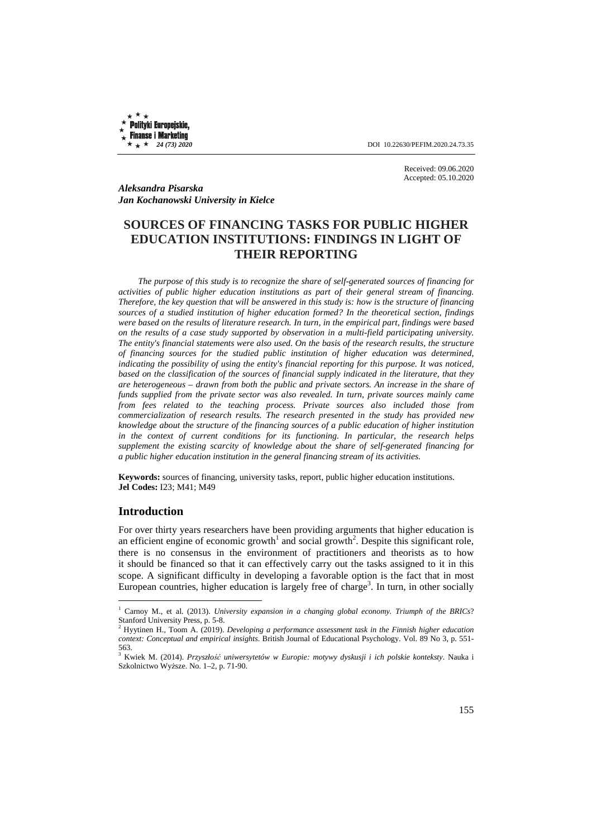Polityki Europejskie, **Finanse i Marketing** 

 $\star$  **24** (73) 2020 **DOI** 10.22630/PEFIM.2020.24.73.35

Received: 09.06.2020 Accepted: 05.10.2020

*Aleksandra Pisarska Jan Kochanowski University in Kielce* 

# **SOURCES OF FINANCING TASKS FOR PUBLIC HIGHER EDUCATION INSTITUTIONS: FINDINGS IN LIGHT OF THEIR REPORTING**

*The purpose of this study is to recognize the share of self-generated sources of financing for activities of public higher education institutions as part of their general stream of financing. Therefore, the key question that will be answered in this study is: how is the structure of financing sources of a studied institution of higher education formed? In the theoretical section, findings were based on the results of literature research. In turn, in the empirical part, findings were based on the results of a case study supported by observation in a multi-field participating university. The entity's financial statements were also used. On the basis of the research results, the structure of financing sources for the studied public institution of higher education was determined, indicating the possibility of using the entity's financial reporting for this purpose. It was noticed, based on the classification of the sources of financial supply indicated in the literature, that they are heterogeneous – drawn from both the public and private sectors. An increase in the share of funds supplied from the private sector was also revealed. In turn, private sources mainly came from fees related to the teaching process. Private sources also included those from commercialization of research results. The research presented in the study has provided new knowledge about the structure of the financing sources of a public education of higher institution in the context of current conditions for its functioning. In particular, the research helps supplement the existing scarcity of knowledge about the share of self-generated financing for a public higher education institution in the general financing stream of its activities.* 

**Keywords:** sources of financing, university tasks, report, public higher education institutions. **Jel Codes:** I23; M41; M49

## **Introduction**

 $\overline{a}$ 

For over thirty years researchers have been providing arguments that higher education is an efficient engine of economic growth<sup>1</sup> and social growth<sup>2</sup>. Despite this significant role, there is no consensus in the environment of practitioners and theorists as to how it should be financed so that it can effectively carry out the tasks assigned to it in this scope. A significant difficulty in developing a favorable option is the fact that in most European countries, higher education is largely free of charge<sup>3</sup>. In turn, in other socially

<sup>&</sup>lt;sup>1</sup> Carnoy M., et al. (2013). *University expansion in a changing global economy. Triumph of the BRICs*? Stanford University Press, p. 5-8. 2 Hyytinen H., Toom A. (2019). *Developing a performance assessment task in the Finnish higher education* 

*context: Conceptual and empirical insights*. British Journal of Educational Psychology. Vol. 89 No 3, p. 551- 563.

<sup>3</sup> Kwiek M. (2014). *Przyszłość uniwersytetów w Europie: motywy dyskusji i ich polskie konteksty*. Nauka i Szkolnictwo Wyższe. No. 1–2, p. 71-90.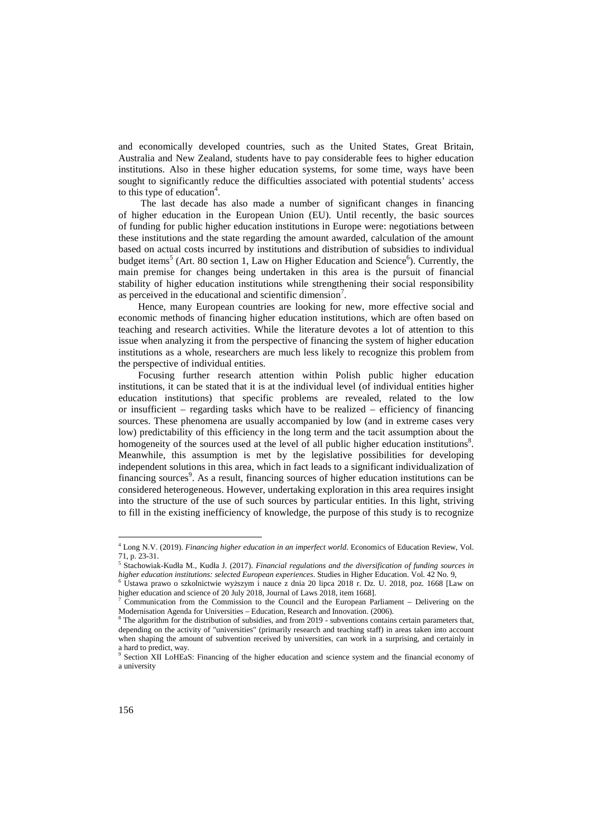and economically developed countries, such as the United States, Great Britain, Australia and New Zealand, students have to pay considerable fees to higher education institutions. Also in these higher education systems, for some time, ways have been sought to significantly reduce the difficulties associated with potential students' access to this type of education<sup>4</sup>.

 The last decade has also made a number of significant changes in financing of higher education in the European Union (EU). Until recently, the basic sources of funding for public higher education institutions in Europe were: negotiations between these institutions and the state regarding the amount awarded, calculation of the amount based on actual costs incurred by institutions and distribution of subsidies to individual budget items<sup>5</sup> (Art. 80 section 1, Law on Higher Education and Science<sup>6</sup>). Currently, the main premise for changes being undertaken in this area is the pursuit of financial stability of higher education institutions while strengthening their social responsibility as perceived in the educational and scientific dimension<sup>7</sup>.

Hence, many European countries are looking for new, more effective social and economic methods of financing higher education institutions, which are often based on teaching and research activities. While the literature devotes a lot of attention to this issue when analyzing it from the perspective of financing the system of higher education institutions as a whole, researchers are much less likely to recognize this problem from the perspective of individual entities.

Focusing further research attention within Polish public higher education institutions, it can be stated that it is at the individual level (of individual entities higher education institutions) that specific problems are revealed, related to the low or insufficient – regarding tasks which have to be realized – efficiency of financing sources. These phenomena are usually accompanied by low (and in extreme cases very low) predictability of this efficiency in the long term and the tacit assumption about the homogeneity of the sources used at the level of all public higher education institutions<sup>8</sup>. Meanwhile, this assumption is met by the legislative possibilities for developing independent solutions in this area, which in fact leads to a significant individualization of financing sources<sup>9</sup>. As a result, financing sources of higher education institutions can be considered heterogeneous. However, undertaking exploration in this area requires insight into the structure of the use of such sources by particular entities. In this light, striving to fill in the existing inefficiency of knowledge, the purpose of this study is to recognize

<sup>4</sup> Long N.V. (2019). *Financing higher education in an imperfect world*. Economics of Education Review, Vol. 71, p. 23-31.

<sup>5</sup> Stachowiak-Kudła M., Kudła J. (2017). *Financial regulations and the diversification of funding sources in higher education institutions: selected European experiences*. Studies in Higher Education. Vol. 42 No. 9,

<sup>6</sup> Ustawa prawo o szkolnictwie wyższym i nauce z dnia 20 lipca 2018 r. Dz. U. 2018, poz. 1668 [Law on higher education and science of 20 July 2018, Journal of Laws 2018, item 1668].

<sup>7</sup> Communication from the Commission to the Council and the European Parliament – Delivering on the Modernisation Agenda for Universities – Education, Research and Innovation. (2006).<br><sup>8</sup> The election for the distribution of subsidies, and from 2010, subventions contained

The algorithm for the distribution of subsidies, and from 2019 - subventions contains certain parameters that, depending on the activity of "universities" (primarily research and teaching staff) in areas taken into account when shaping the amount of subvention received by universities, can work in a surprising, and certainly in a hard to predict, way.

<sup>9</sup> Section XII LoHEaS: Financing of the higher education and science system and the financial economy of a university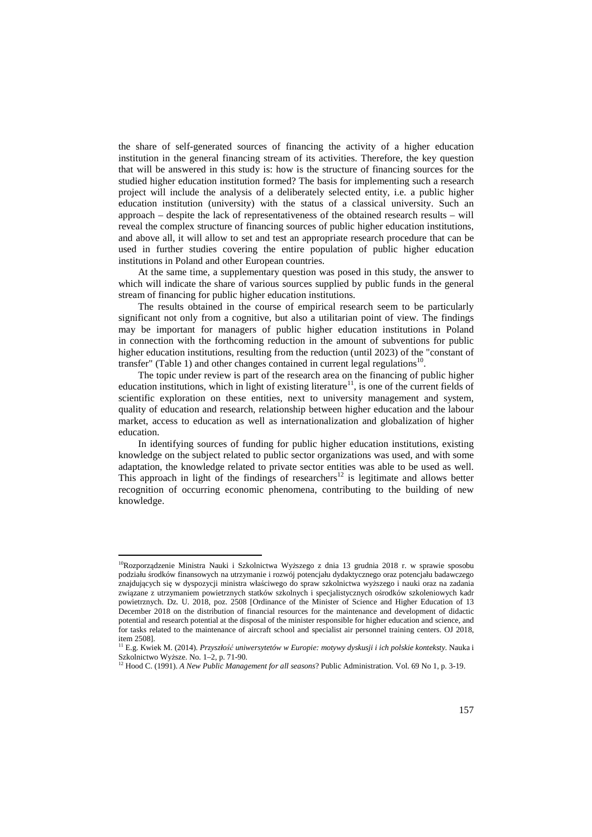the share of self-generated sources of financing the activity of a higher education institution in the general financing stream of its activities. Therefore, the key question that will be answered in this study is: how is the structure of financing sources for the studied higher education institution formed? The basis for implementing such a research project will include the analysis of a deliberately selected entity, i.e. a public higher education institution (university) with the status of a classical university. Such an approach – despite the lack of representativeness of the obtained research results – will reveal the complex structure of financing sources of public higher education institutions, and above all, it will allow to set and test an appropriate research procedure that can be used in further studies covering the entire population of public higher education institutions in Poland and other European countries.

At the same time, a supplementary question was posed in this study, the answer to which will indicate the share of various sources supplied by public funds in the general stream of financing for public higher education institutions.

The results obtained in the course of empirical research seem to be particularly significant not only from a cognitive, but also a utilitarian point of view. The findings may be important for managers of public higher education institutions in Poland in connection with the forthcoming reduction in the amount of subventions for public higher education institutions, resulting from the reduction (until 2023) of the "constant of transfer" (Table 1) and other changes contained in current legal regulations $^{10}$ .

The topic under review is part of the research area on the financing of public higher education institutions, which in light of existing literature<sup>11</sup>, is one of the current fields of scientific exploration on these entities, next to university management and system, quality of education and research, relationship between higher education and the labour market, access to education as well as internationalization and globalization of higher education.

In identifying sources of funding for public higher education institutions, existing knowledge on the subject related to public sector organizations was used, and with some adaptation, the knowledge related to private sector entities was able to be used as well. This approach in light of the findings of researchers<sup>12</sup> is legitimate and allows better recognition of occurring economic phenomena, contributing to the building of new knowledge.

<sup>&</sup>lt;sup>10</sup>Rozporządzenie Ministra Nauki i Szkolnictwa Wyższego z dnia 13 grudnia 2018 r. w sprawie sposobu podziału środków finansowych na utrzymanie i rozwój potencjału dydaktycznego oraz potencjału badawczego znajdujących się w dyspozycji ministra właściwego do spraw szkolnictwa wyższego i nauki oraz na zadania związane z utrzymaniem powietrznych statków szkolnych i specjalistycznych ośrodków szkoleniowych kadr powietrznych. Dz. U. 2018, poz. 2508 [Ordinance of the Minister of Science and Higher Education of 13 December 2018 on the distribution of financial resources for the maintenance and development of didactic potential and research potential at the disposal of the minister responsible for higher education and science, and for tasks related to the maintenance of aircraft school and specialist air personnel training centers. OJ 2018, item 2508].

<sup>11</sup> E.g. Kwiek M. (2014). *Przyszłość uniwersytetów w Europie: motywy dyskusji i ich polskie konteksty*. Nauka i Szkolnictwo Wyższe. No. 1–2, p. 71-90.

<sup>12</sup> Hood C. (1991). *A New Public Management for all seasons*? Public Administration. Vol. 69 No 1, p. 3-19.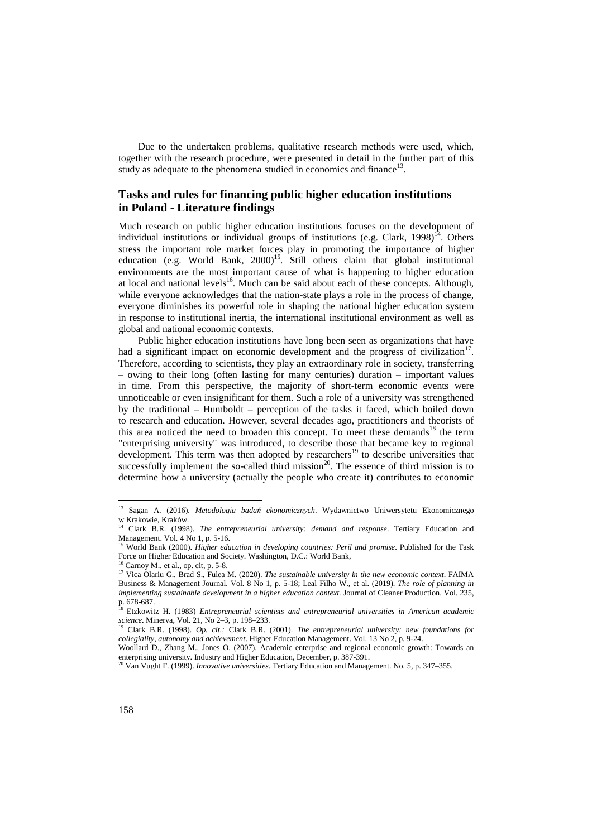Due to the undertaken problems, qualitative research methods were used, which, together with the research procedure, were presented in detail in the further part of this study as adequate to the phenomena studied in economics and finance<sup>13</sup>.

### **Tasks and rules for financing public higher education institutions in Poland - Literature findings**

Much research on public higher education institutions focuses on the development of individual institutions or individual groups of institutions (e.g. Clark,  $1998$ )<sup>14</sup>. Others stress the important role market forces play in promoting the importance of higher education (e.g. World Bank, 2000)<sup>15</sup>. Still others claim that global institutional environments are the most important cause of what is happening to higher education at local and national levels<sup>16</sup>. Much can be said about each of these concepts. Although, while everyone acknowledges that the nation-state plays a role in the process of change, everyone diminishes its powerful role in shaping the national higher education system in response to institutional inertia, the international institutional environment as well as global and national economic contexts.

Public higher education institutions have long been seen as organizations that have had a significant impact on economic development and the progress of civilization<sup>17</sup>. Therefore, according to scientists, they play an extraordinary role in society, transferring – owing to their long (often lasting for many centuries) duration – important values in time. From this perspective, the majority of short-term economic events were unnoticeable or even insignificant for them. Such a role of a university was strengthened by the traditional – Humboldt – perception of the tasks it faced, which boiled down to research and education. However, several decades ago, practitioners and theorists of this area noticed the need to broaden this concept. To meet these demands<sup>18</sup> the term "enterprising university" was introduced, to describe those that became key to regional development. This term was then adopted by researchers<sup>19</sup> to describe universities that successfully implement the so-called third mission<sup>20</sup>. The essence of third mission is to determine how a university (actually the people who create it) contributes to economic

<sup>13</sup> Sagan A. (2016). *Metodologia badań ekonomicznych*. Wydawnictwo Uniwersytetu Ekonomicznego w Krakowie, Kraków. <sup>14</sup> Clark B.R. (1998). *The entrepreneurial university: demand and response*. Tertiary Education and

Management. Vol. 4 No 1, p. 5-16.

<sup>&</sup>lt;sup>15</sup> World Bank (2000). *Higher education in developing countries: Peril and promise*. Published for the Task Force on Higher Education and Society. Washington, D.C.: World Bank,

 $^{16}$  Carnoy M., et al., op. cit, p. 5-8.

<sup>17</sup> Vica Olariu G., Brad S., Fulea M. (2020). *The sustainable university in the new economic context*. FAIMA Business & Management Journal. Vol. 8 No 1, p. 5-18; Leal Filho W., et al. (2019). *The role of planning in implementing sustainable development in a higher education context*. Journal of Cleaner Production. Vol. 235, p. 678-687.<br><sup>18</sup> Etzkowitz H. (1983) *Entrepreneurial scientists and entrepreneurial universities in American academic* 

*science*. Minerva, Vol. 21, No 2–3, p. 198–233.

<sup>19</sup> Clark B.R. (1998). *Op. cit.;* Clark B.R. (2001). *The entrepreneurial university: new foundations for collegiality, autonomy and achievement*. Higher Education Management. Vol. 13 No 2, p. 9-24.

Woollard D., Zhang M., Jones O. (2007). Academic enterprise and regional economic growth: Towards an enterprising university. Industry and Higher Education, December, p. 387-391.

<sup>20</sup> Van Vught F. (1999). *Innovative universities*. Tertiary Education and Management. No. 5, p. 347–355.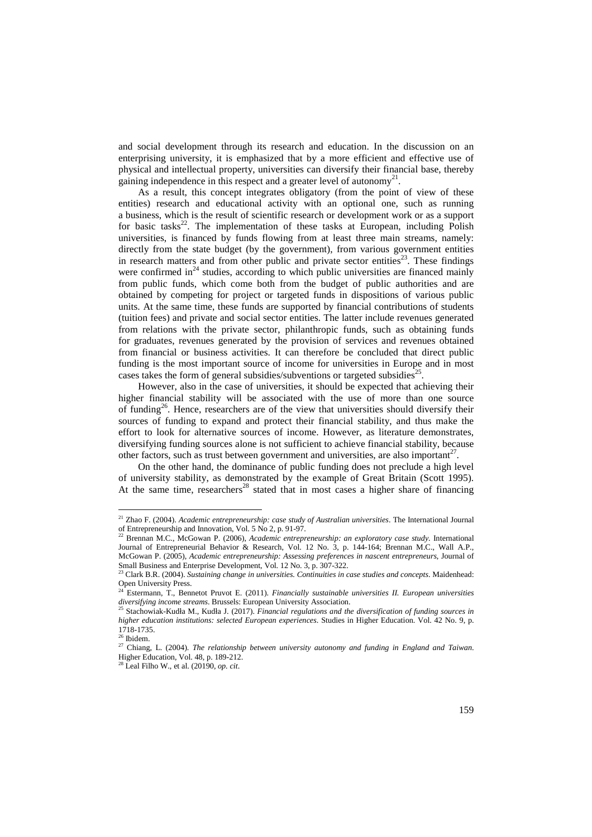and social development through its research and education. In the discussion on an enterprising university, it is emphasized that by a more efficient and effective use of physical and intellectual property, universities can diversify their financial base, thereby gaining independence in this respect and a greater level of autonomy<sup>21</sup>.

As a result, this concept integrates obligatory (from the point of view of these entities) research and educational activity with an optional one, such as running a business, which is the result of scientific research or development work or as a support for basic tasks<sup>22</sup>. The implementation of these tasks at European, including Polish universities, is financed by funds flowing from at least three main streams, namely: directly from the state budget (by the government), from various government entities in research matters and from other public and private sector entities<sup>23</sup>. These findings were confirmed in $^{24}$  studies, according to which public universities are financed mainly from public funds, which come both from the budget of public authorities and are obtained by competing for project or targeted funds in dispositions of various public units. At the same time, these funds are supported by financial contributions of students (tuition fees) and private and social sector entities. The latter include revenues generated from relations with the private sector, philanthropic funds, such as obtaining funds for graduates, revenues generated by the provision of services and revenues obtained from financial or business activities. It can therefore be concluded that direct public funding is the most important source of income for universities in Europe and in most cases takes the form of general subsidies/subventions or targeted subsidies<sup>25</sup>.

However, also in the case of universities, it should be expected that achieving their higher financial stability will be associated with the use of more than one source of funding<sup>26</sup>. Hence, researchers are of the view that universities should diversify their sources of funding to expand and protect their financial stability, and thus make the effort to look for alternative sources of income. However, as literature demonstrates, diversifying funding sources alone is not sufficient to achieve financial stability, because other factors, such as trust between government and universities, are also important $27$ .

On the other hand, the dominance of public funding does not preclude a high level of university stability, as demonstrated by the example of Great Britain (Scott 1995). At the same time, researchers<sup>28</sup> stated that in most cases a higher share of financing

<sup>21</sup> Zhao F. (2004). *Academic entrepreneurship: case study of Australian universities*. The International Journal of Entrepreneurship and Innovation, Vol. 5 No 2, p. 91-97.

<sup>22</sup> Brennan M.C., McGowan P. (2006), *Academic entrepreneurship: an exploratory case study*. International Journal of Entrepreneurial Behavior & Research, Vol. 12 No. 3, p. 144-164; Brennan M.C., Wall A.P., McGowan P. (2005), *Academic entrepreneurship: Assessing preferences in nascent entrepreneurs*, Journal of Small Business and Enterprise Development, Vol. 12 No. 3, p. 307-322.

<sup>23</sup> Clark B.R. (2004). *Sustaining change in universities. Continuities in case studies and concepts*. Maidenhead: Open University Press.

<sup>24</sup> Estermann, T., Bennetot Pruvot E. (2011). *Financially sustainable universities II. European universities diversifying income streams*. Brussels: European University Association.

<sup>25</sup> Stachowiak-Kudła M., Kudła J. (2017). *Financial regulations and the diversification of funding sources in higher education institutions: selected European experiences*. Studies in Higher Education. Vol. 42 No. 9, p. 1718-1735.

<sup>26</sup> Ibidem.

<sup>27</sup> Chiang, L. (2004). *The relationship between university autonomy and funding in England and Taiwan*. Higher Education, Vol. 48, p. 189-212.

<sup>28</sup> Leal Filho W., et al. (20190, *op. cit*.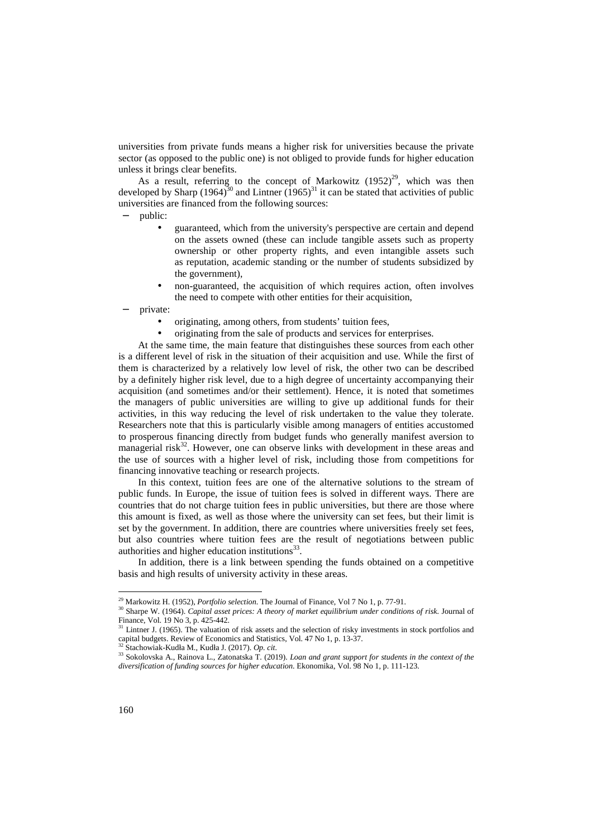universities from private funds means a higher risk for universities because the private sector (as opposed to the public one) is not obliged to provide funds for higher education unless it brings clear benefits.

As a result, referring to the concept of Markowitz  $(1952)^{29}$ , which was then developed by Sharp (1964)<sup>30</sup> and Lintner (1965)<sup>31</sup> it can be stated that activities of public universities are financed from the following sources:

public:

- guaranteed, which from the university's perspective are certain and depend on the assets owned (these can include tangible assets such as property ownership or other property rights, and even intangible assets such as reputation, academic standing or the number of students subsidized by the government),
- non-guaranteed, the acquisition of which requires action, often involves the need to compete with other entities for their acquisition,

private:

- originating, among others, from students' tuition fees,
- originating from the sale of products and services for enterprises.

At the same time, the main feature that distinguishes these sources from each other is a different level of risk in the situation of their acquisition and use. While the first of them is characterized by a relatively low level of risk, the other two can be described by a definitely higher risk level, due to a high degree of uncertainty accompanying their acquisition (and sometimes and/or their settlement). Hence, it is noted that sometimes the managers of public universities are willing to give up additional funds for their activities, in this way reducing the level of risk undertaken to the value they tolerate. Researchers note that this is particularly visible among managers of entities accustomed to prosperous financing directly from budget funds who generally manifest aversion to managerial risk $32$ . However, one can observe links with development in these areas and the use of sources with a higher level of risk, including those from competitions for financing innovative teaching or research projects.

In this context, tuition fees are one of the alternative solutions to the stream of public funds. In Europe, the issue of tuition fees is solved in different ways. There are countries that do not charge tuition fees in public universities, but there are those where this amount is fixed, as well as those where the university can set fees, but their limit is set by the government. In addition, there are countries where universities freely set fees, but also countries where tuition fees are the result of negotiations between public authorities and higher education institutions $^{33}$ .

In addition, there is a link between spending the funds obtained on a competitive basis and high results of university activity in these areas.

<sup>32</sup> Stachowiak-Kudła M., Kudła J. (2017). *Op. cit.*

<sup>29</sup> Markowitz H. (1952), *Portfolio selection*. The Journal of Finance, Vol 7 No 1, p. 77-91.

<sup>30</sup> Sharpe W. (1964). *Capital asset prices: A theory of market equilibrium under conditions of risk*. Journal of Finance, Vol. 19 No 3, p. 425-442.

 $31$  Lintner J. (1965). The valuation of risk assets and the selection of risky investments in stock portfolios and capital budgets. Review of Economics and Statistics, Vol. 47 No 1, p. 13-37.

<sup>33</sup> Sokolovska A., Rainova L., Zatonatska T. (2019). *Loan and grant support for students in the context of the diversification of funding sources for higher education*. Ekonomika, Vol. 98 No 1, p. 111-123.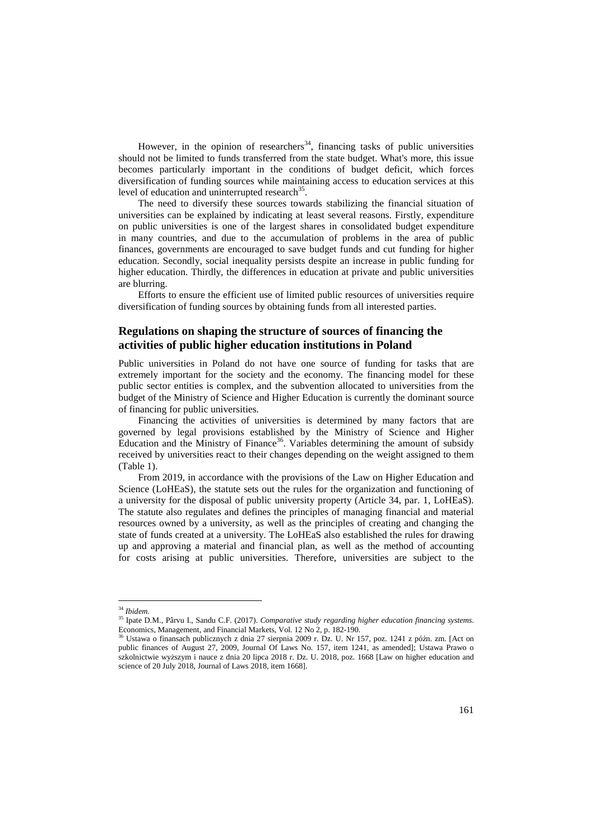However, in the opinion of researchers<sup>34</sup>, financing tasks of public universities should not be limited to funds transferred from the state budget. What's more, this issue becomes particularly important in the conditions of budget deficit, which forces diversification of funding sources while maintaining access to education services at this level of education and uninterrupted research $35$ .

The need to diversify these sources towards stabilizing the financial situation of universities can be explained by indicating at least several reasons. Firstly, expenditure on public universities is one of the largest shares in consolidated budget expenditure in many countries, and due to the accumulation of problems in the area of public finances, governments are encouraged to save budget funds and cut funding for higher education. Secondly, social inequality persists despite an increase in public funding for higher education. Thirdly, the differences in education at private and public universities are blurring.

Efforts to ensure the efficient use of limited public resources of universities require diversification of funding sources by obtaining funds from all interested parties.

## **Regulations on shaping the structure of sources of financing the activities of public higher education institutions in Poland**

Public universities in Poland do not have one source of funding for tasks that are extremely important for the society and the economy. The financing model for these public sector entities is complex, and the subvention allocated to universities from the budget of the Ministry of Science and Higher Education is currently the dominant source of financing for public universities.

Financing the activities of universities is determined by many factors that are governed by legal provisions established by the Ministry of Science and Higher Education and the Ministry of Finance<sup>36</sup>. Variables determining the amount of subsidy received by universities react to their changes depending on the weight assigned to them (Table 1).

From 2019, in accordance with the provisions of the Law on Higher Education and Science (LoHEaS), the statute sets out the rules for the organization and functioning of a university for the disposal of public university property (Article 34, par. 1, LoHEaS). The statute also regulates and defines the principles of managing financial and material resources owned by a university, as well as the principles of creating and changing the state of funds created at a university. The LoHEaS also established the rules for drawing up and approving a material and financial plan, as well as the method of accounting for costs arising at public universities. Therefore, universities are subject to the

<sup>34</sup> *Ibidem*.

<sup>35</sup> Ipate D.M., Pârvu I., Sandu C.F. (2017). *Comparative study regarding higher education financing systems*. Economics, Management, and Financial Markets, Vol. 12 No 2, p. 182-190.

<sup>36</sup> Ustawa o finansach publicznych z dnia 27 sierpnia 2009 r. Dz. U. Nr 157, poz. 1241 z późn. zm. [Act on public finances of August 27, 2009, Journal Of Laws No. 157, item 1241, as amended]; Ustawa Prawo o szkolnictwie wyższym i nauce z dnia 20 lipca 2018 r. Dz. U. 2018, poz. 1668 [Law on higher education and science of 20 July 2018, Journal of Laws 2018, item 1668].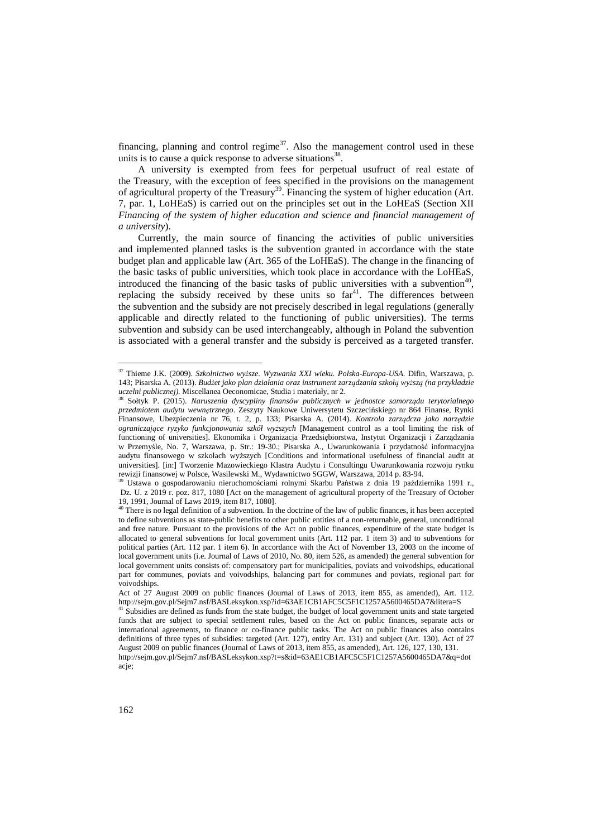financing, planning and control regime $37$ . Also the management control used in these units is to cause a quick response to adverse situations $^{38}$ .

A university is exempted from fees for perpetual usufruct of real estate of the Treasury, with the exception of fees specified in the provisions on the management of agricultural property of the Treasury<sup>39</sup>. Financing the system of higher education (Art. 7, par. 1, LoHEaS) is carried out on the principles set out in the LoHEaS (Section XII *Financing of the system of higher education and science and financial management of a university*).

Currently, the main source of financing the activities of public universities and implemented planned tasks is the subvention granted in accordance with the state budget plan and applicable law (Art. 365 of the LoHEaS). The change in the financing of the basic tasks of public universities, which took place in accordance with the LoHEaS, introduced the financing of the basic tasks of public universities with a subvention<sup>40</sup>, replacing the subsidy received by these units so  $far<sup>41</sup>$ . The differences between the subvention and the subsidy are not precisely described in legal regulations (generally applicable and directly related to the functioning of public universities). The terms subvention and subsidy can be used interchangeably, although in Poland the subvention is associated with a general transfer and the subsidy is perceived as a targeted transfer.

<sup>37</sup> Thieme J.K. (2009). *Szkolnictwo wyższe. Wyzwania XXI wieku. Polska-Europa-USA*. Difin, Warszawa, p. 143; Pisarska A. (2013). *Budżet jako plan działania oraz instrument zarządzania szkołą wyższą (na przykładzie uczelni publicznej).* Miscellanea Oeconomicae, Studia i materiały, nr 2.

<sup>38</sup> Sołtyk P. (2015). *Naruszenia dyscypliny finansów publicznych w jednostce samorządu terytorialnego przedmiotem audytu wewnętrznego*. Zeszyty Naukowe Uniwersytetu Szczecińskiego nr 864 Finanse, Rynki Finansowe, Ubezpieczenia nr 76, t. 2, p. 133; Pisarska A. (2014). *Kontrola zarządcza jako narzędzie ograniczające ryzyko funkcjonowania szkół wyższych* [Management control as a tool limiting the risk of functioning of universities]. Ekonomika i Organizacja Przedsiębiorstwa, Instytut Organizacji i Zarządzania w Przemyśle, No. 7, Warszawa, p. Str.: 19-30.; Pisarska A., Uwarunkowania i przydatność informacyjna audytu finansowego w szkołach wyższych [Conditions and informational usefulness of financial audit at universities]. [in:] Tworzenie Mazowieckiego Klastra Audytu i Consultingu Uwarunkowania rozwoju rynku rewizji finansowej w Polsce, Wasilewski M., Wydawnictwo SGGW, Warszawa, 2014 p. 83-94.

<sup>39</sup> Ustawa o gospodarowaniu nieruchomościami rolnymi Skarbu Państwa z dnia 19 października 1991 r., Dz. U. z 2019 r. poz. 817, 1080 [Act on the management of agricultural property of the Treasury of October 19, 1991, Journal of Laws 2019, item 817, 1080].

 $40$  There is no legal definition of a subvention. In the doctrine of the law of public finances, it has been accepted to define subventions as state-public benefits to other public entities of a non-returnable, general, unconditional and free nature. Pursuant to the provisions of the Act on public finances, expenditure of the state budget is allocated to general subventions for local government units (Art. 112 par. 1 item 3) and to subventions for political parties (Art. 112 par. 1 item 6). In accordance with the Act of November 13, 2003 on the income of local government units (i.e. Journal of Laws of 2010, No. 80, item 526, as amended) the general subvention for local government units consists of: compensatory part for municipalities, poviats and voivodships, educational part for communes, poviats and voivodships, balancing part for communes and poviats, regional part for voivodships.

Act of 27 August 2009 on public finances (Journal of Laws of 2013, item 855, as amended), Art. 112. http://sejm.gov.pl/Sejm7.nsf/BASLeksykon.xsp?id=63AE1CB1AFC5C5F1C1257A5600465DA7&litera=S

 $41$  Subsidies are defined as funds from the state budget, the budget of local government units and state targeted funds that are subject to special settlement rules, based on the Act on public finances, separate acts or international agreements, to finance or co-finance public tasks. The Act on public finances also contains definitions of three types of subsidies: targeted (Art. 127), entity Art. 131) and subject (Art. 130). Act of 27 August 2009 on public finances (Journal of Laws of 2013, item 855, as amended), Art. 126, 127, 130, 131. http://sejm.gov.pl/Sejm7.nsf/BASLeksykon.xsp?t=s&id=63AE1CB1AFC5C5F1C1257A5600465DA7&q=dot

acje;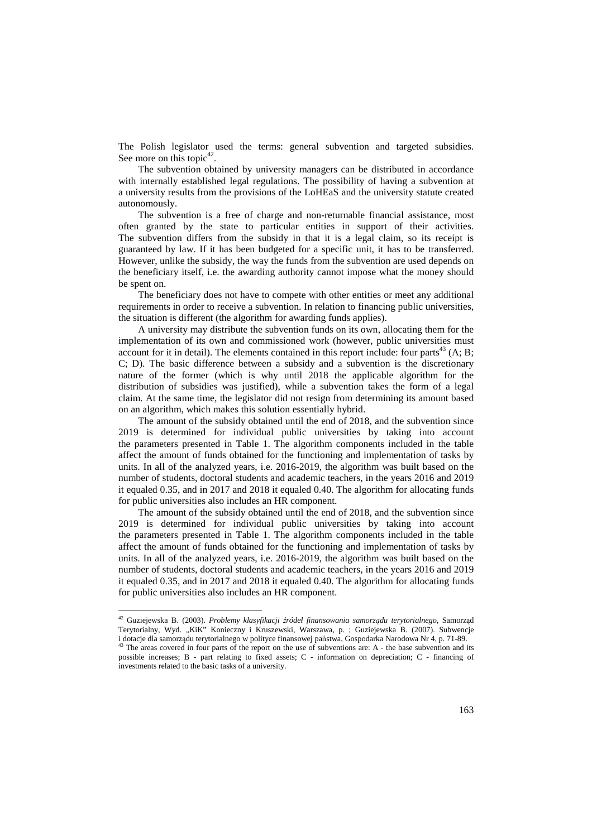The Polish legislator used the terms: general subvention and targeted subsidies. See more on this topic $42$ .

The subvention obtained by university managers can be distributed in accordance with internally established legal regulations. The possibility of having a subvention at a university results from the provisions of the LoHEaS and the university statute created autonomously.

The subvention is a free of charge and non-returnable financial assistance, most often granted by the state to particular entities in support of their activities. The subvention differs from the subsidy in that it is a legal claim, so its receipt is guaranteed by law. If it has been budgeted for a specific unit, it has to be transferred. However, unlike the subsidy, the way the funds from the subvention are used depends on the beneficiary itself, i.e. the awarding authority cannot impose what the money should be spent on.

The beneficiary does not have to compete with other entities or meet any additional requirements in order to receive a subvention. In relation to financing public universities, the situation is different (the algorithm for awarding funds applies).

A university may distribute the subvention funds on its own, allocating them for the implementation of its own and commissioned work (however, public universities must account for it in detail). The elements contained in this report include: four parts<sup>43</sup> (A; B; C; D). The basic difference between a subsidy and a subvention is the discretionary nature of the former (which is why until 2018 the applicable algorithm for the distribution of subsidies was justified), while a subvention takes the form of a legal claim. At the same time, the legislator did not resign from determining its amount based on an algorithm, which makes this solution essentially hybrid.

The amount of the subsidy obtained until the end of 2018, and the subvention since 2019 is determined for individual public universities by taking into account the parameters presented in Table 1. The algorithm components included in the table affect the amount of funds obtained for the functioning and implementation of tasks by units. In all of the analyzed years, i.e. 2016-2019, the algorithm was built based on the number of students, doctoral students and academic teachers, in the years 2016 and 2019 it equaled 0.35, and in 2017 and 2018 it equaled 0.40. The algorithm for allocating funds for public universities also includes an HR component.

The amount of the subsidy obtained until the end of 2018, and the subvention since 2019 is determined for individual public universities by taking into account the parameters presented in Table 1. The algorithm components included in the table affect the amount of funds obtained for the functioning and implementation of tasks by units. In all of the analyzed years, i.e. 2016-2019, the algorithm was built based on the number of students, doctoral students and academic teachers, in the years 2016 and 2019 it equaled 0.35, and in 2017 and 2018 it equaled 0.40. The algorithm for allocating funds for public universities also includes an HR component.

<sup>42</sup> Guziejewska B. (2003). *Problemy klasyfikacji źródeł finansowania samorządu terytorialnego*, Samorząd Terytorialny, Wyd. "KiK" Konieczny i Kruszewski, Warszawa, p. ; Guziejewska B. (2007). Subwencje i dotacje dla samorządu terytorialnego w polityce finansowej państwa, Gospodarka Narodowa Nr 4, p. 71-89.

<sup>&</sup>lt;sup>43</sup> The areas covered in four parts of the report on the use of subventions are: A - the base subvention and its possible increases; B - part relating to fixed assets; C - information on depreciation; C - financing of investments related to the basic tasks of a university.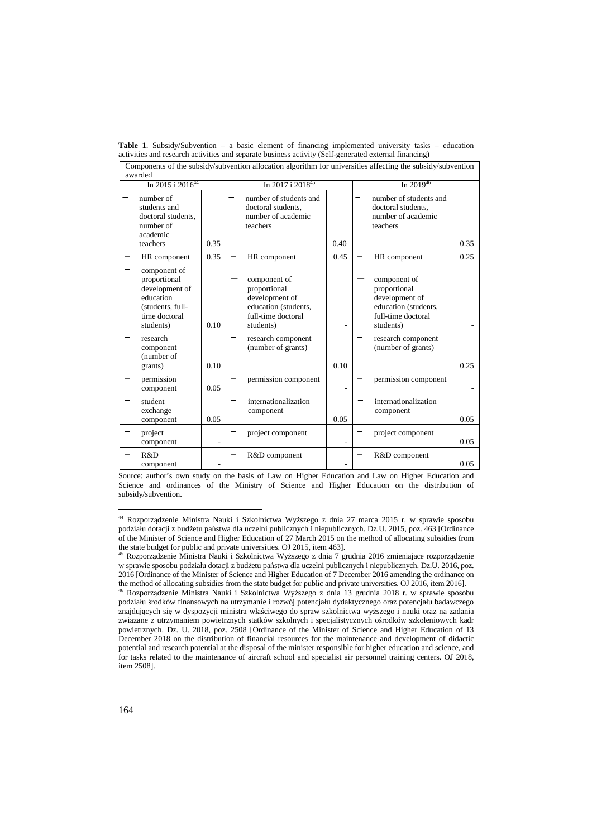|                         | awarded                                                                                                       |      |                                                                                                           |      | Components of the subsidy/subvention allocation algorithm for universities affecting the subsidy/subvention |      |  |  |
|-------------------------|---------------------------------------------------------------------------------------------------------------|------|-----------------------------------------------------------------------------------------------------------|------|-------------------------------------------------------------------------------------------------------------|------|--|--|
| In $2015$ i $2016^{44}$ |                                                                                                               |      | In 2017 i 2018 <sup>45</sup>                                                                              |      | In $2019^{46}$                                                                                              |      |  |  |
|                         | number of<br>students and<br>doctoral students.<br>number of<br>academic<br>teachers                          | 0.35 | number of students and<br>doctoral students.<br>number of academic<br>teachers                            | 0.40 | number of students and<br>doctoral students.<br>number of academic<br>teachers                              | 0.35 |  |  |
|                         | HR component                                                                                                  | 0.35 | HR component                                                                                              | 0.45 | HR component                                                                                                | 0.25 |  |  |
|                         | component of<br>proportional<br>development of<br>education<br>(students, full-<br>time doctoral<br>students) | 0.10 | component of<br>proportional<br>development of<br>education (students,<br>full-time doctoral<br>students) |      | component of<br>proportional<br>development of<br>education (students,<br>full-time doctoral<br>students)   |      |  |  |
|                         | research<br>component<br>(number of<br>grants)                                                                | 0.10 | research component<br>(number of grants)                                                                  | 0.10 | research component<br>(number of grants)                                                                    | 0.25 |  |  |
|                         | permission<br>component                                                                                       | 0.05 | permission component                                                                                      |      | permission component                                                                                        |      |  |  |
|                         | student<br>exchange<br>component                                                                              | 0.05 | internationalization<br>component                                                                         | 0.05 | internationalization<br>component                                                                           | 0.05 |  |  |
|                         | project<br>component                                                                                          |      | project component                                                                                         |      | project component                                                                                           | 0.05 |  |  |
|                         | R&D                                                                                                           |      | R&D component                                                                                             |      | R&D component                                                                                               |      |  |  |

**Table 1**. Subsidy/Subvention – a basic element of financing implemented university tasks – education activities and research activities and separate business activity (Self-generated external financing)

Source: author's own study on the basis of Law on Higher Education and Law on Higher Education and Science and ordinances of the Ministry of Science and Higher Education on the distribution of subsidy/subvention.

-

0.05

 $\overline{a}$ 

component

<sup>44</sup> Rozporządzenie Ministra Nauki i Szkolnictwa Wyższego z dnia 27 marca 2015 r. w sprawie sposobu podziału dotacji z budżetu państwa dla uczelni publicznych i niepublicznych. Dz.U. 2015, poz. 463 [Ordinance of the Minister of Science and Higher Education of 27 March 2015 on the method of allocating subsidies from

the state budget for public and private universities. OJ 2015, item 463].<br><sup>45</sup> Rozporządzenie Ministra Nauki i Szkolnictwa Wyższego z dnia 7 grudnia 2016 zmieniające rozporządzenie w sprawie sposobu podziału dotacji z budżetu państwa dla uczelni publicznych i niepublicznych. Dz.U. 2016, poz. 2016 [Ordinance of the Minister of Science and Higher Education of 7 December 2016 amending the ordinance on the method of allocating subsidies from the state budget for public and private universities. OJ 2016, item 2016].

<sup>46</sup> Rozporządzenie Ministra Nauki i Szkolnictwa Wyższego z dnia 13 grudnia 2018 r. w sprawie sposobu podziału środków finansowych na utrzymanie i rozwój potencjału dydaktycznego oraz potencjału badawczego znajdujących się w dyspozycji ministra właściwego do spraw szkolnictwa wyższego i nauki oraz na zadania związane z utrzymaniem powietrznych statków szkolnych i specjalistycznych ośrodków szkoleniowych kadr powietrznych. Dz. U. 2018, poz. 2508 [Ordinance of the Minister of Science and Higher Education of 13 December 2018 on the distribution of financial resources for the maintenance and development of didactic potential and research potential at the disposal of the minister responsible for higher education and science, and for tasks related to the maintenance of aircraft school and specialist air personnel training centers. OJ 2018, item 2508].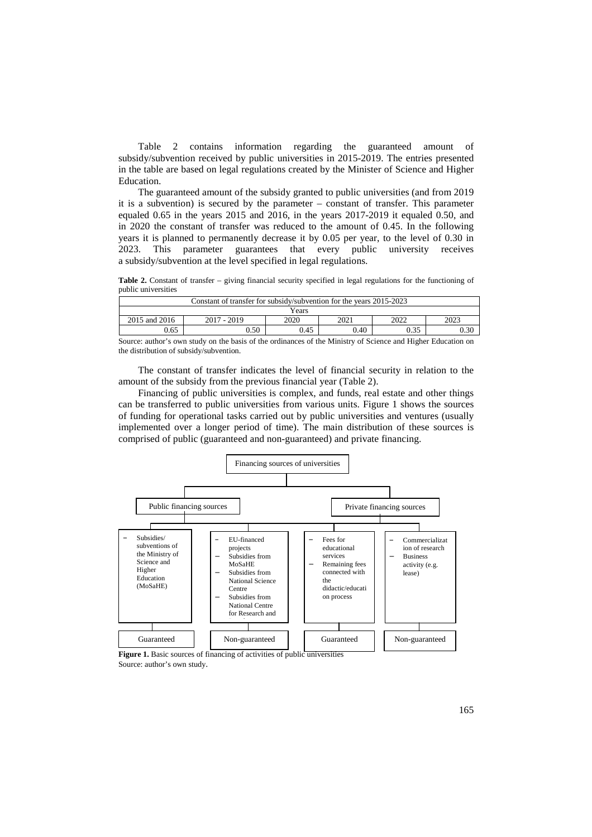Table 2 contains information regarding the guaranteed amount of subsidy/subvention received by public universities in 2015-2019. The entries presented in the table are based on legal regulations created by the Minister of Science and Higher Education.

The guaranteed amount of the subsidy granted to public universities (and from 2019 it is a subvention) is secured by the parameter – constant of transfer. This parameter equaled 0.65 in the years 2015 and 2016, in the years 2017-2019 it equaled 0.50, and in 2020 the constant of transfer was reduced to the amount of 0.45. In the following years it is planned to permanently decrease it by 0.05 per year, to the level of 0.30 in 2023. This parameter guarantees that every public university receives a subsidy/subvention at the level specified in legal regulations.

**Table 2.** Constant of transfer – giving financial security specified in legal regulations for the functioning of public universities

| Constant of transfer for subsidy/subvention for the years 2015-2023 |               |      |      |      |      |  |  |
|---------------------------------------------------------------------|---------------|------|------|------|------|--|--|
| Years                                                               |               |      |      |      |      |  |  |
| 2015 and 2016                                                       | $2017 - 2019$ | 2020 | 2021 | 2022 | 2023 |  |  |
| 0.65                                                                | 0.50          | 0.45 | 0.40 | 0.35 | 0.30 |  |  |

Source: author's own study on the basis of the ordinances of the Ministry of Science and Higher Education on the distribution of subsidy/subvention.

The constant of transfer indicates the level of financial security in relation to the amount of the subsidy from the previous financial year (Table 2).

Financing of public universities is complex, and funds, real estate and other things can be transferred to public universities from various units. Figure 1 shows the sources of funding for operational tasks carried out by public universities and ventures (usually implemented over a longer period of time). The main distribution of these sources is comprised of public (guaranteed and non-guaranteed) and private financing.



Figure 1. Basic sources of financing of activities of public universities Source: author's own study.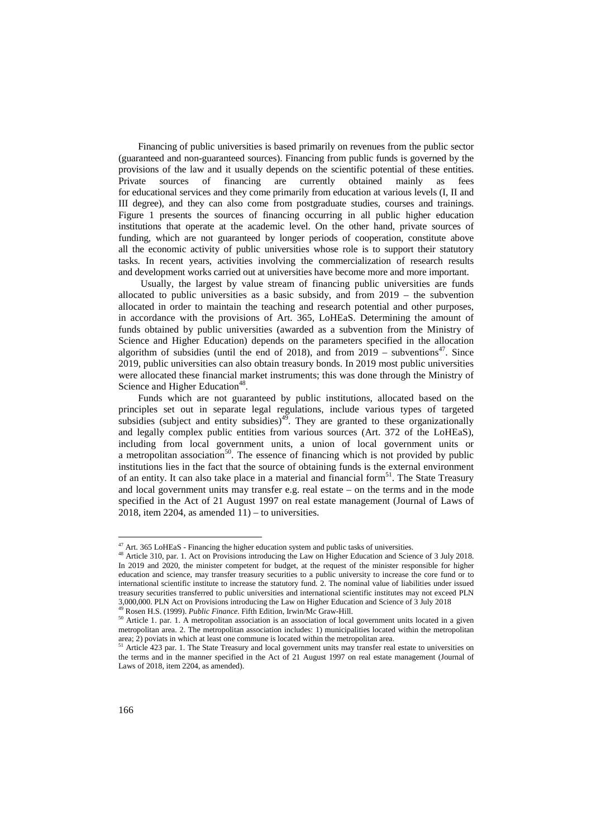Financing of public universities is based primarily on revenues from the public sector (guaranteed and non-guaranteed sources). Financing from public funds is governed by the provisions of the law and it usually depends on the scientific potential of these entities. Private sources of financing are currently obtained mainly as fees for educational services and they come primarily from education at various levels (I, II and III degree), and they can also come from postgraduate studies, courses and trainings. Figure 1 presents the sources of financing occurring in all public higher education institutions that operate at the academic level. On the other hand, private sources of funding, which are not guaranteed by longer periods of cooperation, constitute above all the economic activity of public universities whose role is to support their statutory tasks. In recent years, activities involving the commercialization of research results and development works carried out at universities have become more and more important.

 Usually, the largest by value stream of financing public universities are funds allocated to public universities as a basic subsidy, and from  $2019 -$  the subvention allocated in order to maintain the teaching and research potential and other purposes, in accordance with the provisions of Art. 365, LoHEaS. Determining the amount of funds obtained by public universities (awarded as a subvention from the Ministry of Science and Higher Education) depends on the parameters specified in the allocation algorithm of subsidies (until the end of 2018), and from  $2019 -$  subventions<sup>47</sup>. Since 2019, public universities can also obtain treasury bonds. In 2019 most public universities were allocated these financial market instruments; this was done through the Ministry of Science and Higher Education<sup>48</sup>.

Funds which are not guaranteed by public institutions, allocated based on the principles set out in separate legal regulations, include various types of targeted subsidies (subject and entity subsidies)<sup>49</sup>. They are granted to these organizationally and legally complex public entities from various sources (Art. 372 of the LoHEaS), including from local government units, a union of local government units or a metropolitan association<sup>50</sup>. The essence of financing which is not provided by public institutions lies in the fact that the source of obtaining funds is the external environment of an entity. It can also take place in a material and financial form<sup>51</sup>. The State Treasury and local government units may transfer e.g. real estate – on the terms and in the mode specified in the Act of 21 August 1997 on real estate management (Journal of Laws of 2018, item 2204, as amended  $11$ ) – to universities.

 $47$  Art. 365 LoHEaS - Financing the higher education system and public tasks of universities.

<sup>&</sup>lt;sup>48</sup> Article 310, par. 1. Act on Provisions introducing the Law on Higher Education and Science of 3 July 2018. In 2019 and 2020, the minister competent for budget, at the request of the minister responsible for higher education and science, may transfer treasury securities to a public university to increase the core fund or to international scientific institute to increase the statutory fund. 2. The nominal value of liabilities under issued treasury securities transferred to public universities and international scientific institutes may not exceed PLN 3,000,000. PLN Act on Provisions introducing the Law on Higher Education and Science of 3 July 2018

<sup>49</sup> Rosen H.S. (1999). *Public Finance*. Fifth Edition, Irwin/Mc Graw-Hill.

<sup>&</sup>lt;sup>50</sup> Article 1. par. 1. A metropolitan association is an association of local government units located in a given metropolitan area. 2. The metropolitan association includes: 1) municipalities located within the metropolitan area; 2) poviats in which at least one commune is located within the metropolitan area.

<sup>&</sup>lt;sup>51</sup> Article 423 par. 1. The State Treasury and local government units may transfer real estate to universities on the terms and in the manner specified in the Act of 21 August 1997 on real estate management (Journal of Laws of 2018, item 2204, as amended).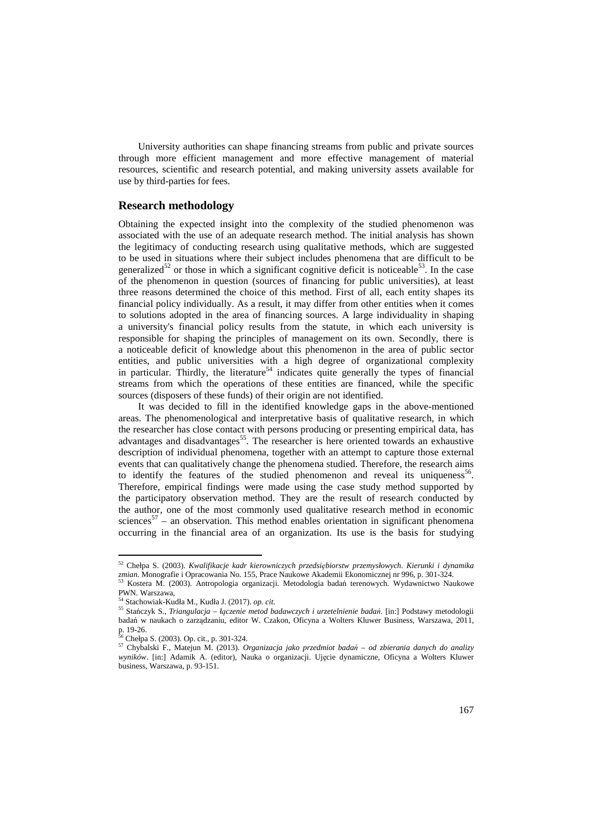University authorities can shape financing streams from public and private sources through more efficient management and more effective management of material resources, scientific and research potential, and making university assets available for use by third-parties for fees.

### **Research methodology**

Obtaining the expected insight into the complexity of the studied phenomenon was associated with the use of an adequate research method. The initial analysis has shown the legitimacy of conducting research using qualitative methods, which are suggested to be used in situations where their subject includes phenomena that are difficult to be generalized<sup>52</sup> or those in which a significant cognitive deficit is noticeable<sup>53</sup>. In the case of the phenomenon in question (sources of financing for public universities), at least three reasons determined the choice of this method. First of all, each entity shapes its financial policy individually. As a result, it may differ from other entities when it comes to solutions adopted in the area of financing sources. A large individuality in shaping a university's financial policy results from the statute, in which each university is responsible for shaping the principles of management on its own. Secondly, there is a noticeable deficit of knowledge about this phenomenon in the area of public sector entities, and public universities with a high degree of organizational complexity in particular. Thirdly, the literature<sup>54</sup> indicates quite generally the types of financial streams from which the operations of these entities are financed, while the specific sources (disposers of these funds) of their origin are not identified.

It was decided to fill in the identified knowledge gaps in the above-mentioned areas. The phenomenological and interpretative basis of qualitative research, in which the researcher has close contact with persons producing or presenting empirical data, has advantages and disadvantages<sup>55</sup>. The researcher is here oriented towards an exhaustive description of individual phenomena, together with an attempt to capture those external events that can qualitatively change the phenomena studied. Therefore, the research aims to identify the features of the studied phenomenon and reveal its uniqueness<sup>56</sup>. Therefore, empirical findings were made using the case study method supported by the participatory observation method. They are the result of research conducted by the author, one of the most commonly used qualitative research method in economic sciences<sup>57</sup> – an observation. This method enables orientation in significant phenomena occurring in the financial area of an organization. Its use is the basis for studying

<sup>52</sup> Chełpa S. (2003). *Kwalifikacje kadr kierowniczych przedsiębiorstw przemysłowych. Kierunki i dynamika*  zmian. Monografie i Opracowania No. 155, Prace Naukowe Akademii Ekonomicznej nr 996, p. 301-324.<br><sup>53</sup> Kartana Maria (2000)

<sup>53</sup> Kostera M. (2003). Antropologia organizacji. Metodologia badań terenowych. Wydawnictwo Naukowe PWN. Warszawa,

<sup>54</sup> Stachowiak-Kudła M., Kudła J. (2017). *op. cit*.

<sup>55</sup> Stańczyk S., *Triangulacja – łączenie metod badawczych i urzetelnienie badań*. [in:] Podstawy metodologii badań w naukach o zarządzaniu, editor W. Czakon, Oficyna a Wolters Kluwer Business, Warszawa, 2011, p. 19-26.

 $6$  Chełpa S. (2003). Op. cit., p. 301-324.

<sup>57</sup> Chybalski F., Matejun M. (2013). *Organizacja jako przedmiot badań – od zbierania danych do analizy wyników*. [in:] Adamik A. (editor), Nauka o organizacji. Ujęcie dynamiczne, Oficyna a Wolters Kluwer business, Warszawa, p. 93-151.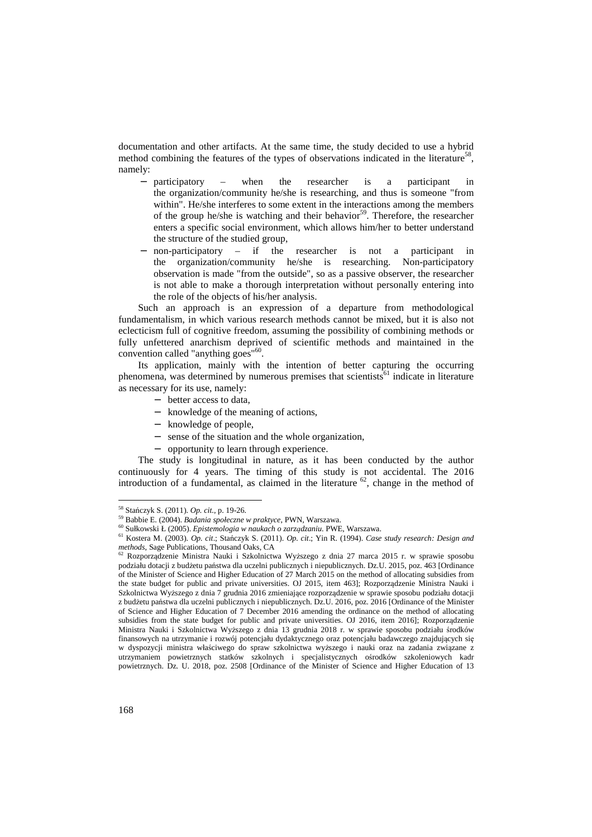documentation and other artifacts. At the same time, the study decided to use a hybrid method combining the features of the types of observations indicated in the literature<sup>58</sup>, namely:

- − participatory when the researcher is a participant in the organization/community he/she is researching, and thus is someone "from within". He/she interferes to some extent in the interactions among the members of the group he/she is watching and their behavior<sup>59</sup>. Therefore, the researcher enters a specific social environment, which allows him/her to better understand the structure of the studied group,
- non-participatory if the researcher is not a participant in the organization/community he/she is researching. Non-participatory observation is made "from the outside", so as a passive observer, the researcher is not able to make a thorough interpretation without personally entering into the role of the objects of his/her analysis.

Such an approach is an expression of a departure from methodological fundamentalism, in which various research methods cannot be mixed, but it is also not eclecticism full of cognitive freedom, assuming the possibility of combining methods or fully unfettered anarchism deprived of scientific methods and maintained in the convention called "anything goes"<sup>60</sup>.

Its application, mainly with the intention of better capturing the occurring phenomena, was determined by numerous premises that scientists<sup>61</sup> indicate in literature as necessary for its use, namely:

- − better access to data,
- − knowledge of the meaning of actions,
- − knowledge of people,
- − sense of the situation and the whole organization,
- − opportunity to learn through experience.

The study is longitudinal in nature, as it has been conducted by the author continuously for 4 years. The timing of this study is not accidental. The 2016 introduction of a fundamental, as claimed in the literature  $62$ , change in the method of

<sup>58</sup> Stańczyk S. (2011). *Op. cit*., p. 19-26.

<sup>59</sup> Babbie E. (2004). *Badania społeczne w praktyce*, PWN, Warszawa.

<sup>60</sup> Sułkowski Ł (2005). *Epistemologia w naukach o zarządzaniu*. PWE, Warszawa.

<sup>61</sup> Kostera M. (2003). *Op. cit*.; Stańczyk S. (2011). *Op. cit*.; Yin R. (1994). *Case study research: Design and methods*, Sage Publications, Thousand Oaks, CA <sup>62</sup> Rozporządzenie Ministra Nauki i Szkolnictwa Wyższego z dnia 27 marca 2015 r. w sprawie sposobu

podziału dotacji z budżetu państwa dla uczelni publicznych i niepublicznych. Dz.U. 2015, poz. 463 [Ordinance of the Minister of Science and Higher Education of 27 March 2015 on the method of allocating subsidies from the state budget for public and private universities. OJ 2015, item 463]; Rozporządzenie Ministra Nauki i Szkolnictwa Wyższego z dnia 7 grudnia 2016 zmieniające rozporządzenie w sprawie sposobu podziału dotacji z budżetu państwa dla uczelni publicznych i niepublicznych. Dz.U. 2016, poz. 2016 [Ordinance of the Minister of Science and Higher Education of 7 December 2016 amending the ordinance on the method of allocating subsidies from the state budget for public and private universities. OJ 2016, item 2016]; Rozporządzenie Ministra Nauki i Szkolnictwa Wyższego z dnia 13 grudnia 2018 r. w sprawie sposobu podziału środków finansowych na utrzymanie i rozwój potencjału dydaktycznego oraz potencjału badawczego znajdujących się w dyspozycji ministra właściwego do spraw szkolnictwa wyższego i nauki oraz na zadania związane z utrzymaniem powietrznych statków szkolnych i specjalistycznych ośrodków szkoleniowych kadr powietrznych. Dz. U. 2018, poz. 2508 [Ordinance of the Minister of Science and Higher Education of 13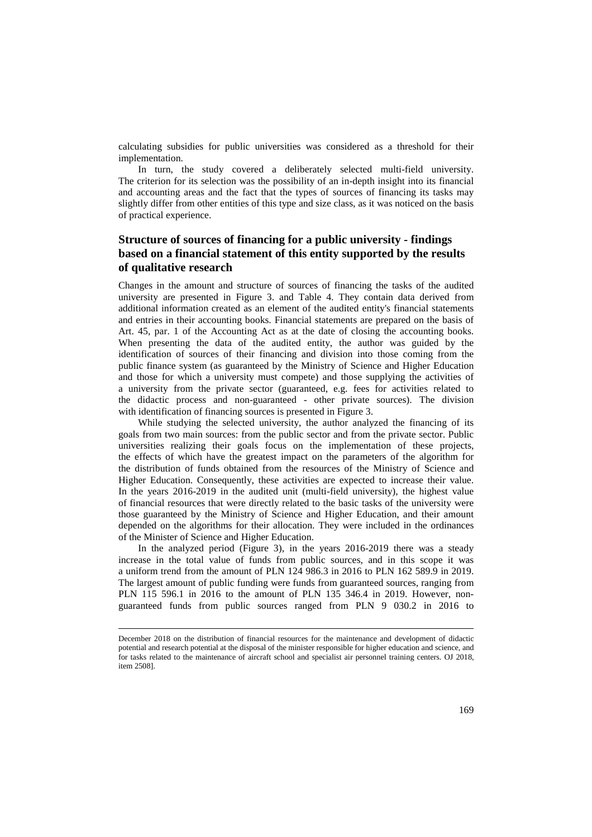calculating subsidies for public universities was considered as a threshold for their implementation.

In turn, the study covered a deliberately selected multi-field university. The criterion for its selection was the possibility of an in-depth insight into its financial and accounting areas and the fact that the types of sources of financing its tasks may slightly differ from other entities of this type and size class, as it was noticed on the basis of practical experience.

## **Structure of sources of financing for a public university - findings based on a financial statement of this entity supported by the results of qualitative research**

Changes in the amount and structure of sources of financing the tasks of the audited university are presented in Figure 3. and Table 4. They contain data derived from additional information created as an element of the audited entity's financial statements and entries in their accounting books. Financial statements are prepared on the basis of Art. 45, par. 1 of the Accounting Act as at the date of closing the accounting books. When presenting the data of the audited entity, the author was guided by the identification of sources of their financing and division into those coming from the public finance system (as guaranteed by the Ministry of Science and Higher Education and those for which a university must compete) and those supplying the activities of a university from the private sector (guaranteed, e.g. fees for activities related to the didactic process and non-guaranteed - other private sources). The division with identification of financing sources is presented in Figure 3.

While studying the selected university, the author analyzed the financing of its goals from two main sources: from the public sector and from the private sector. Public universities realizing their goals focus on the implementation of these projects, the effects of which have the greatest impact on the parameters of the algorithm for the distribution of funds obtained from the resources of the Ministry of Science and Higher Education. Consequently, these activities are expected to increase their value. In the years 2016-2019 in the audited unit (multi-field university), the highest value of financial resources that were directly related to the basic tasks of the university were those guaranteed by the Ministry of Science and Higher Education, and their amount depended on the algorithms for their allocation. They were included in the ordinances of the Minister of Science and Higher Education.

In the analyzed period (Figure 3), in the years 2016-2019 there was a steady increase in the total value of funds from public sources, and in this scope it was a uniform trend from the amount of PLN 124 986.3 in 2016 to PLN 162 589.9 in 2019. The largest amount of public funding were funds from guaranteed sources, ranging from PLN 115 596.1 in 2016 to the amount of PLN 135 346.4 in 2019. However, nonguaranteed funds from public sources ranged from PLN 9 030.2 in 2016 to

December 2018 on the distribution of financial resources for the maintenance and development of didactic potential and research potential at the disposal of the minister responsible for higher education and science, and for tasks related to the maintenance of aircraft school and specialist air personnel training centers. OJ 2018, item 2508].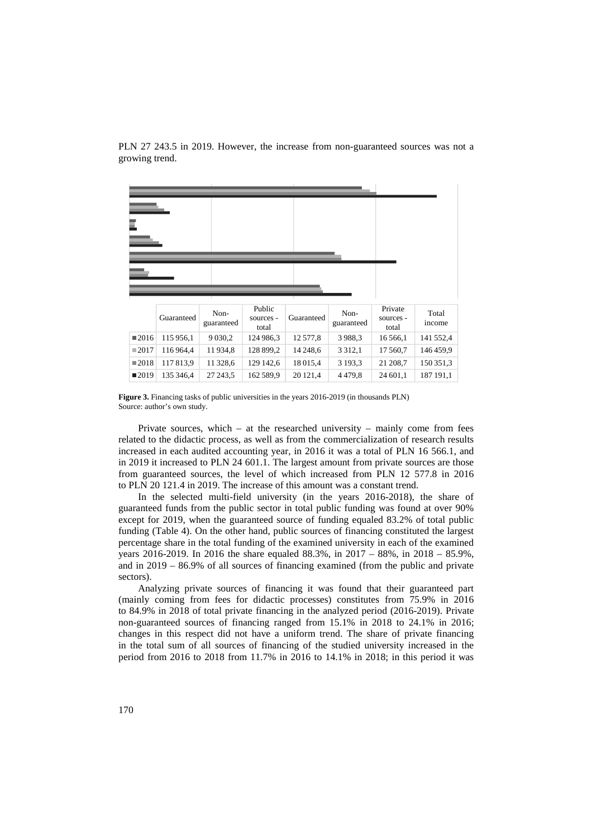PLN 27 243.5 in 2019. However, the increase from non-guaranteed sources was not a growing trend.

|                     | Guaranteed | Non-<br>guaranteed | Public<br>sources -<br>total | Guaranteed | Non-<br>guaranteed | Private<br>sources -<br>total | Total<br>income |
|---------------------|------------|--------------------|------------------------------|------------|--------------------|-------------------------------|-----------------|
| $\blacksquare$ 2016 | 115 956,1  | 9 0 3 0 , 2        | 124 986,3                    | 12 577,8   | 3988.3             | 16 5 6 6,1                    | 141 552,4       |
| $\blacksquare 2017$ | 116964,4   | 11934,8            | 128 899,2                    | 14 248,6   | 3 3 1 2 , 1        | 17 560,7                      | 146459.9        |
| $\blacksquare 2018$ | 117813.9   | 11 328,6           | 129 142,6                    | 18 015,4   | 3 1 9 3 , 3        | 21 208,7                      | 150 351,3       |
| $\blacksquare$ 2019 | 135 346,4  | 27 243,5           | 162 589,9                    | 20 12 1.4  | 4479.8             | 24 601,1                      | 187 191,1       |

**Figure 3.** Financing tasks of public universities in the years 2016-2019 (in thousands PLN) Source: author's own study.

Private sources, which – at the researched university – mainly come from fees related to the didactic process, as well as from the commercialization of research results increased in each audited accounting year, in 2016 it was a total of PLN 16 566.1, and in 2019 it increased to PLN 24 601.1. The largest amount from private sources are those from guaranteed sources, the level of which increased from PLN 12 577.8 in 2016 to PLN 20 121.4 in 2019. The increase of this amount was a constant trend.

In the selected multi-field university (in the years 2016-2018), the share of guaranteed funds from the public sector in total public funding was found at over 90% except for 2019, when the guaranteed source of funding equaled 83.2% of total public funding (Table 4). On the other hand, public sources of financing constituted the largest percentage share in the total funding of the examined university in each of the examined years 2016-2019. In 2016 the share equaled 88.3%, in 2017 – 88%, in 2018 – 85.9%, and in 2019 – 86.9% of all sources of financing examined (from the public and private sectors).

Analyzing private sources of financing it was found that their guaranteed part (mainly coming from fees for didactic processes) constitutes from 75.9% in 2016 to 84.9% in 2018 of total private financing in the analyzed period (2016-2019). Private non-guaranteed sources of financing ranged from 15.1% in 2018 to 24.1% in 2016; changes in this respect did not have a uniform trend. The share of private financing in the total sum of all sources of financing of the studied university increased in the period from 2016 to 2018 from 11.7% in 2016 to 14.1% in 2018; in this period it was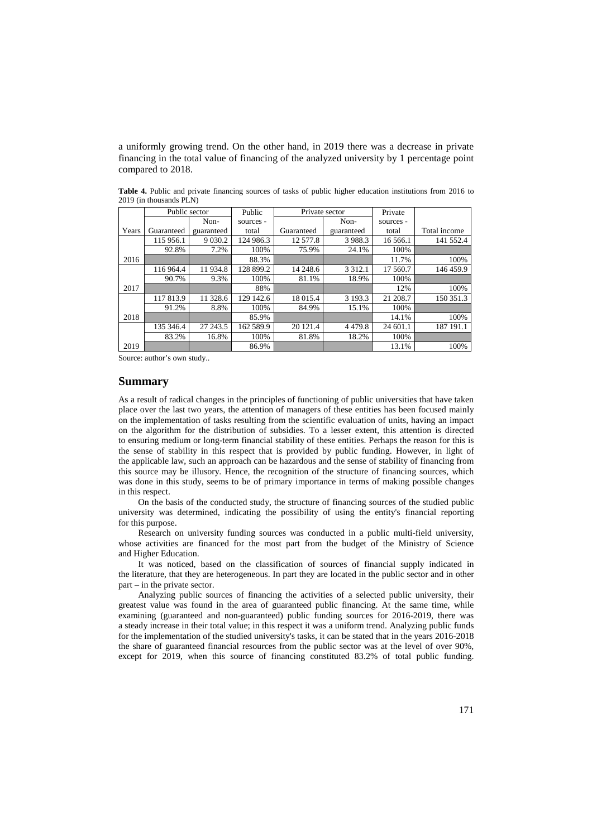a uniformly growing trend. On the other hand, in 2019 there was a decrease in private financing in the total value of financing of the analyzed university by 1 percentage point compared to 2018.

|       | Public sector |            | Public    | Private sector |             | Private   |              |
|-------|---------------|------------|-----------|----------------|-------------|-----------|--------------|
|       |               | Non-       | sources - |                | Non-        | sources - |              |
| Years | Guaranteed    | guaranteed | total     | Guaranteed     | guaranteed  | total     | Total income |
|       | 115 956.1     | 9 0 3 0.2  | 124 986.3 | 12 577.8       | 3 9 8 8 . 3 | 16 566.1  | 141 552.4    |
|       | 92.8%         | 7.2%       | 100%      | 75.9%          | 24.1%       | 100%      |              |
| 2016  |               |            | 88.3%     |                |             | 11.7%     | 100%         |
|       | 116 964.4     | 11934.8    | 128 899.2 | 14 248.6       | 3 3 1 2 .1  | 17 560.7  | 146 459.9    |
|       | 90.7%         | 9.3%       | 100%      | 81.1%          | 18.9%       | 100%      |              |
| 2017  |               |            | 88%       |                |             | 12%       | 100%         |
|       | 117813.9      | 11 328.6   | 129 142.6 | 18 015.4       | 3 1 9 3 . 3 | 21 208.7  | 150 351.3    |
|       | 91.2%         | 8.8%       | 100%      | 84.9%          | 15.1%       | 100%      |              |
| 2018  |               |            | 85.9%     |                |             | 14.1%     | 100%         |
|       | 135 346.4     | 27 243.5   | 162 589.9 | 20 121.4       | 4 4 7 9 .8  | 24 601.1  | 187 191.1    |
|       | 83.2%         | 16.8%      | 100%      | 81.8%          | 18.2%       | 100%      |              |
| 2019  |               |            | 86.9%     |                |             | 13.1%     | 100%         |

**Table 4.** Public and private financing sources of tasks of public higher education institutions from 2016 to 2019 (in thousands PLN)

Source: author's own study..

#### **Summary**

As a result of radical changes in the principles of functioning of public universities that have taken place over the last two years, the attention of managers of these entities has been focused mainly on the implementation of tasks resulting from the scientific evaluation of units, having an impact on the algorithm for the distribution of subsidies. To a lesser extent, this attention is directed to ensuring medium or long-term financial stability of these entities. Perhaps the reason for this is the sense of stability in this respect that is provided by public funding. However, in light of the applicable law, such an approach can be hazardous and the sense of stability of financing from this source may be illusory. Hence, the recognition of the structure of financing sources, which was done in this study, seems to be of primary importance in terms of making possible changes in this respect.

On the basis of the conducted study, the structure of financing sources of the studied public university was determined, indicating the possibility of using the entity's financial reporting for this purpose.

Research on university funding sources was conducted in a public multi-field university, whose activities are financed for the most part from the budget of the Ministry of Science and Higher Education.

It was noticed, based on the classification of sources of financial supply indicated in the literature, that they are heterogeneous. In part they are located in the public sector and in other part – in the private sector.

Analyzing public sources of financing the activities of a selected public university, their greatest value was found in the area of guaranteed public financing. At the same time, while examining (guaranteed and non-guaranteed) public funding sources for 2016-2019, there was a steady increase in their total value; in this respect it was a uniform trend. Analyzing public funds for the implementation of the studied university's tasks, it can be stated that in the years 2016-2018 the share of guaranteed financial resources from the public sector was at the level of over 90%, except for 2019, when this source of financing constituted 83.2% of total public funding.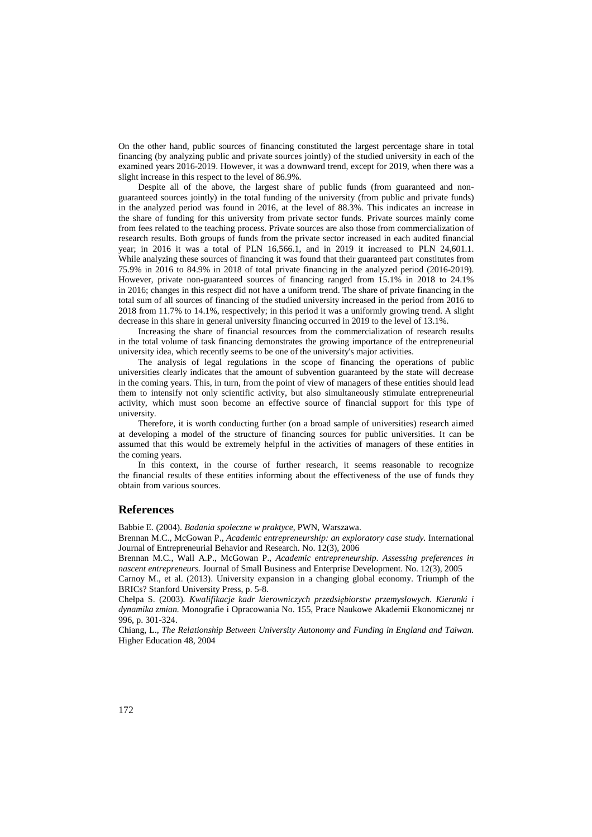On the other hand, public sources of financing constituted the largest percentage share in total financing (by analyzing public and private sources jointly) of the studied university in each of the examined years 2016-2019. However, it was a downward trend, except for 2019, when there was a slight increase in this respect to the level of 86.9%.

Despite all of the above, the largest share of public funds (from guaranteed and nonguaranteed sources jointly) in the total funding of the university (from public and private funds) in the analyzed period was found in 2016, at the level of 88.3%. This indicates an increase in the share of funding for this university from private sector funds. Private sources mainly come from fees related to the teaching process. Private sources are also those from commercialization of research results. Both groups of funds from the private sector increased in each audited financial year; in 2016 it was a total of PLN 16,566.1, and in 2019 it increased to PLN 24,601.1. While analyzing these sources of financing it was found that their guaranteed part constitutes from 75.9% in 2016 to 84.9% in 2018 of total private financing in the analyzed period (2016-2019). However, private non-guaranteed sources of financing ranged from 15.1% in 2018 to 24.1% in 2016; changes in this respect did not have a uniform trend. The share of private financing in the total sum of all sources of financing of the studied university increased in the period from 2016 to 2018 from 11.7% to 14.1%, respectively; in this period it was a uniformly growing trend. A slight decrease in this share in general university financing occurred in 2019 to the level of 13.1%.

Increasing the share of financial resources from the commercialization of research results in the total volume of task financing demonstrates the growing importance of the entrepreneurial university idea, which recently seems to be one of the university's major activities.

The analysis of legal regulations in the scope of financing the operations of public universities clearly indicates that the amount of subvention guaranteed by the state will decrease in the coming years. This, in turn, from the point of view of managers of these entities should lead them to intensify not only scientific activity, but also simultaneously stimulate entrepreneurial activity, which must soon become an effective source of financial support for this type of university.

Therefore, it is worth conducting further (on a broad sample of universities) research aimed at developing a model of the structure of financing sources for public universities. It can be assumed that this would be extremely helpful in the activities of managers of these entities in the coming years.

In this context, in the course of further research, it seems reasonable to recognize the financial results of these entities informing about the effectiveness of the use of funds they obtain from various sources.

### **References**

Babbie E. (2004). *Badania społeczne w praktyce*, PWN, Warszawa.

Brennan M.C., McGowan P., *Academic entrepreneurship: an exploratory case study.* International Journal of Entrepreneurial Behavior and Research. No. 12(3), 2006

Brennan M.C., Wall A.P., McGowan P., *Academic entrepreneurship. Assessing preferences in nascent entrepreneurs.* Journal of Small Business and Enterprise Development. No. 12(3), 2005

Carnoy M., et al. (2013). University expansion in a changing global economy. Triumph of the BRICs? Stanford University Press, p. 5-8.

Chełpa S. (2003). *Kwalifikacje kadr kierowniczych przedsiębiorstw przemysłowych. Kierunki i dynamika zmian.* Monografie i Opracowania No. 155, Prace Naukowe Akademii Ekonomicznej nr 996, p. 301-324.

Chiang, L., *The Relationship Between University Autonomy and Funding in England and Taiwan.*  Higher Education 48, 2004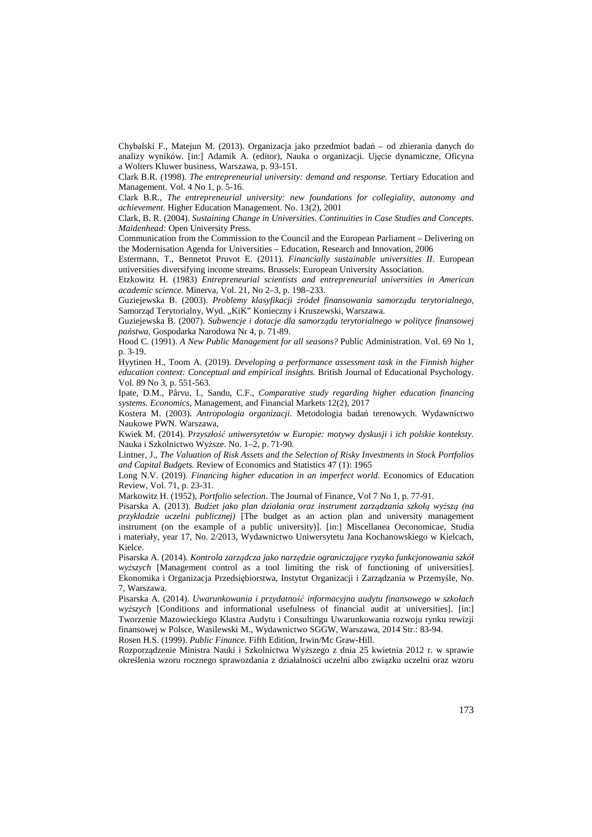Chybalski F., Matejun M. (2013). Organizacja jako przedmiot badań – od zbierania danych do analizy wyników. [in:] Adamik A. (editor), Nauka o organizacji. Ujęcie dynamiczne, Oficyna a Wolters Kluwer business, Warszawa, p. 93-151.

Clark B.R. (1998). *The entrepreneurial university: demand and response.* Tertiary Education and Management. Vol. 4 No 1, p. 5-16.

Clark B.R., *The entrepreneurial university: new foundations for collegiality, autonomy and achievement.* Higher Education Management. No. 13(2), 2001

Clark, B. R. (2004). *Sustaining Change in Universities. Continuities in Case Studies and Concepts. Maidenhead:* Open University Press.

Communication from the Commission to the Council and the European Parliament – Delivering on the Modernisation Agenda for Universities – Education, Research and Innovation, 2006

Estermann, T., Bennetot Pruvot E. (2011). *Financially sustainable universities II*. European universities diversifying income streams. Brussels: European University Association.

Etzkowitz H. (1983) *Entrepreneurial scientists and entrepreneurial universities in American academic science.* Minerva, Vol. 21, No 2–3, p. 198–233.

Guziejewska B. (2003). *Problemy klasyfikacji źródeł finansowania samorządu terytorialnego*, Samorząd Terytorialny, Wyd. "KiK" Konieczny i Kruszewski, Warszawa.

Guziejewska B. (2007). *Subwencje i dotacje dla samorządu terytorialnego w polityce finansowej państwa,* Gospodarka Narodowa Nr 4, p. 71-89.

Hood C. (1991). *A New Public Management for all seasons?* Public Administration. Vol. 69 No 1, p. 3-19.

Hyytinen H., Toom A. (2019). *Developing a performance assessment task in the Finnish higher education context: Conceptual and empirical insights.* British Journal of Educational Psychology. Vol. 89 No 3, p. 551-563.

Ipate, D.M., Pârvu, I., Sandu, C.F., *Comparative study regarding higher education financing systems. Economics,* Management, and Financial Markets 12(2), 2017

Kostera M. (2003). *Antropologia organizacji.* Metodologia badań terenowych. Wydawnictwo Naukowe PWN. Warszawa,

Kwiek M. (2014). P*rzyszłość uniwersytetów w Europie: motywy dyskusji i ich polskie konteksty.*  Nauka i Szkolnictwo Wyższe. No. 1–2, p. 71-90.

Lintner, J., *The Valuation of Risk Assets and the Selection of Risky Investments in Stock Portfolios and Capital Budgets.* Review of Economics and Statistics 47 (1): 1965

Long N.V. (2019). *Financing higher education in an imperfect world.* Economics of Education Review, Vol. 71, p. 23-31.

Markowitz H. (1952), *Portfolio selection*. The Journal of Finance, Vol 7 No 1, p. 77-91.

Pisarska A. (2013). *Budżet jako plan działania oraz instrument zarządzania szkołą wyższą (na przykładzie uczelni publicznej)* [The budget as an action plan and university management instrument (on the example of a public university)]. [in:] Miscellanea Oeconomicae, Studia i materiały, year 17, No. 2/2013, Wydawnictwo Uniwersytetu Jana Kochanowskiego w Kielcach, Kielce.

Pisarska A. (2014). *Kontrola zarządcza jako narzędzie ograniczające ryzyko funkcjonowania szkół wyższych* [Management control as a tool limiting the risk of functioning of universities]. Ekonomika i Organizacja Przedsiębiorstwa, Instytut Organizacji i Zarządzania w Przemyśle, No. 7, Warszawa.

Pisarska A. (2014). *Uwarunkowania i przydatność informacyjna audytu finansowego w szkołach wyższych* [Conditions and informational usefulness of financial audit at universities]. [in:] Tworzenie Mazowieckiego Klastra Audytu i Consultingu Uwarunkowania rozwoju rynku rewizji finansowej w Polsce, Wasilewski M., Wydawnictwo SGGW, Warszawa, 2014 Str.: 83-94. Rosen H.S. (1999). *Public Finance*. Fifth Edition, Irwin/Mc Graw-Hill.

Rozporządzenie Ministra Nauki i Szkolnictwa Wyższego z dnia 25 kwietnia 2012 r. w sprawie określenia wzoru rocznego sprawozdania z działalności uczelni albo związku uczelni oraz wzoru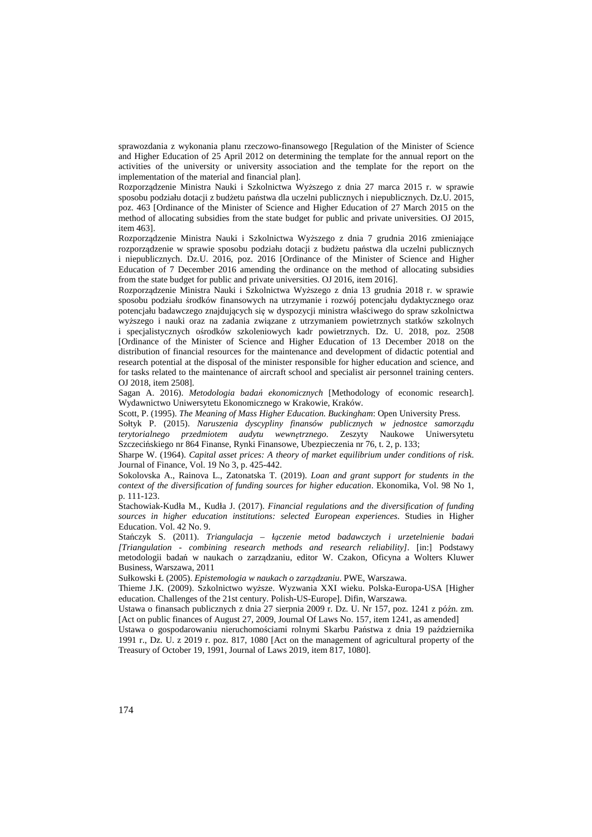sprawozdania z wykonania planu rzeczowo-finansowego [Regulation of the Minister of Science and Higher Education of 25 April 2012 on determining the template for the annual report on the activities of the university or university association and the template for the report on the implementation of the material and financial plan].

Rozporządzenie Ministra Nauki i Szkolnictwa Wyższego z dnia 27 marca 2015 r. w sprawie sposobu podziału dotacji z budżetu państwa dla uczelni publicznych i niepublicznych. Dz.U. 2015, poz. 463 [Ordinance of the Minister of Science and Higher Education of 27 March 2015 on the method of allocating subsidies from the state budget for public and private universities. OJ 2015, item 463].

Rozporządzenie Ministra Nauki i Szkolnictwa Wyższego z dnia 7 grudnia 2016 zmieniające rozporządzenie w sprawie sposobu podziału dotacji z budżetu państwa dla uczelni publicznych i niepublicznych. Dz.U. 2016, poz. 2016 [Ordinance of the Minister of Science and Higher Education of 7 December 2016 amending the ordinance on the method of allocating subsidies from the state budget for public and private universities. OJ 2016, item 2016].

Rozporządzenie Ministra Nauki i Szkolnictwa Wyższego z dnia 13 grudnia 2018 r. w sprawie sposobu podziału środków finansowych na utrzymanie i rozwój potencjału dydaktycznego oraz potencjału badawczego znajdujących się w dyspozycji ministra właściwego do spraw szkolnictwa wyższego i nauki oraz na zadania związane z utrzymaniem powietrznych statków szkolnych i specjalistycznych ośrodków szkoleniowych kadr powietrznych. Dz. U. 2018, poz. 2508 [Ordinance of the Minister of Science and Higher Education of 13 December 2018 on the distribution of financial resources for the maintenance and development of didactic potential and research potential at the disposal of the minister responsible for higher education and science, and for tasks related to the maintenance of aircraft school and specialist air personnel training centers. OJ 2018, item 2508].

Sagan A. 2016). *Metodologia badań ekonomicznych* [Methodology of economic research]. Wydawnictwo Uniwersytetu Ekonomicznego w Krakowie, Kraków.

Scott, P. (1995). *The Meaning of Mass Higher Education. Buckingham*: Open University Press.

Sołtyk P. (2015). *Naruszenia dyscypliny finansów publicznych w jednostce samorządu terytorialnego przedmiotem audytu wewnętrznego.* Zeszyty Naukowe Uniwersytetu Szczecińskiego nr 864 Finanse, Rynki Finansowe, Ubezpieczenia nr 76, t. 2, p. 133;

Sharpe W. (1964). *Capital asset prices: A theory of market equilibrium under conditions of risk*. Journal of Finance, Vol. 19 No 3, p. 425-442.

Sokolovska A., Rainova L., Zatonatska T. (2019). *Loan and grant support for students in the context of the diversification of funding sources for higher education*. Ekonomika, Vol. 98 No 1, p. 111-123.

Stachowiak-Kudła M., Kudła J. (2017). *Financial regulations and the diversification of funding sources in higher education institutions: selected European experiences*. Studies in Higher Education. Vol. 42 No. 9.

Stańczyk S. (2011). *Triangulacja – łączenie metod badawczych i urzetelnienie badań [Triangulation - combining research methods and research reliability]*. [in:] Podstawy metodologii badań w naukach o zarządzaniu, editor W. Czakon, Oficyna a Wolters Kluwer Business, Warszawa, 2011

Sułkowski Ł (2005). *Epistemologia w naukach o zarządzaniu*. PWE, Warszawa.

Thieme J.K. (2009). Szkolnictwo wyższe. Wyzwania XXI wieku. Polska-Europa-USA [Higher education. Challenges of the 21st century. Polish-US-Europe]. Difin, Warszawa.

Ustawa o finansach publicznych z dnia 27 sierpnia 2009 r. Dz. U. Nr 157, poz. 1241 z późn. zm. [Act on public finances of August 27, 2009, Journal Of Laws No. 157, item 1241, as amended]

Ustawa o gospodarowaniu nieruchomościami rolnymi Skarbu Państwa z dnia 19 października 1991 r., Dz. U. z 2019 r. poz. 817, 1080 [Act on the management of agricultural property of the Treasury of October 19, 1991, Journal of Laws 2019, item 817, 1080].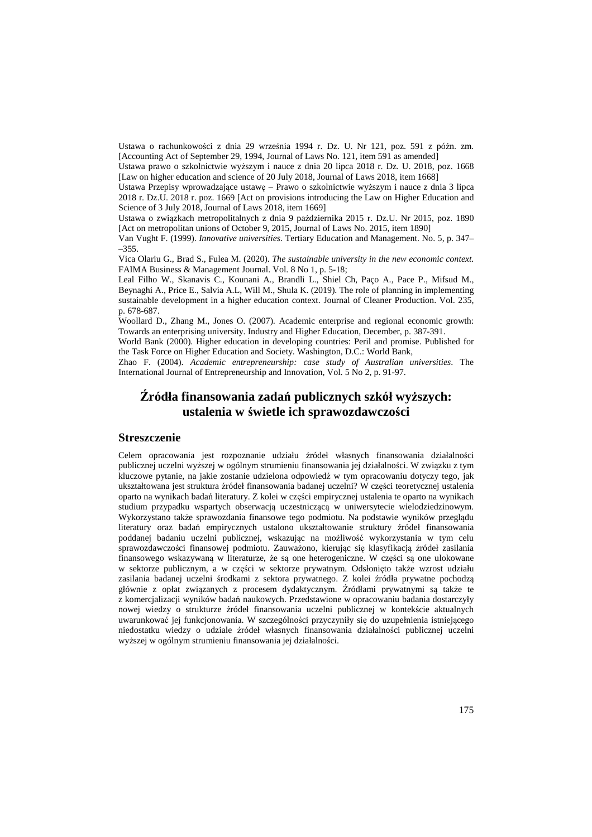Ustawa o rachunkowości z dnia 29 września 1994 r. Dz. U. Nr 121, poz. 591 z późn. zm. [Accounting Act of September 29, 1994, Journal of Laws No. 121, item 591 as amended]

Ustawa prawo o szkolnictwie wyższym i nauce z dnia 20 lipca 2018 r. Dz. U. 2018, poz. 1668 [Law on higher education and science of 20 July 2018, Journal of Laws 2018, item 1668]

Ustawa Przepisy wprowadzające ustawę – Prawo o szkolnictwie wyższym i nauce z dnia 3 lipca 2018 r. Dz.U. 2018 r. poz. 1669 [Act on provisions introducing the Law on Higher Education and Science of 3 July 2018, Journal of Laws 2018, item 1669]

Ustawa o związkach metropolitalnych z dnia 9 października 2015 r. Dz.U. Nr 2015, poz. 1890 [Act on metropolitan unions of October 9, 2015, Journal of Laws No. 2015, item 1890]

Van Vught F. (1999). *Innovative universities*. Tertiary Education and Management. No. 5, p. 347– –355.

Vica Olariu G., Brad S., Fulea M. (2020). *The sustainable university in the new economic context.* FAIMA Business & Management Journal. Vol. 8 No 1, p. 5-18;

Leal Filho W., Skanavis C., Kounani A., Brandli L., Shiel Ch, Paço A., Pace P., Mifsud M., Beynaghi A., Price E., Salvia A.L, Will M., Shula K. (2019). The role of planning in implementing sustainable development in a higher education context. Journal of Cleaner Production. Vol. 235, p. 678-687.

Woollard D., Zhang M., Jones O. (2007). Academic enterprise and regional economic growth: Towards an enterprising university. Industry and Higher Education, December, p. 387-391.

World Bank (2000). Higher education in developing countries: Peril and promise. Published for the Task Force on Higher Education and Society. Washington, D.C.: World Bank,

Zhao F. (2004). *Academic entrepreneurship: case study of Australian universities*. The International Journal of Entrepreneurship and Innovation, Vol. 5 No 2, p. 91-97.

# **Źródła finansowania zadań publicznych szkół wyższych: ustalenia w świetle ich sprawozdawczości**

### **Streszczenie**

Celem opracowania jest rozpoznanie udziału źródeł własnych finansowania działalności publicznej uczelni wyższej w ogólnym strumieniu finansowania jej działalności. W związku z tym kluczowe pytanie, na jakie zostanie udzielona odpowiedź w tym opracowaniu dotyczy tego, jak ukształtowana jest struktura źródeł finansowania badanej uczelni? W części teoretycznej ustalenia oparto na wynikach badań literatury. Z kolei w części empirycznej ustalenia te oparto na wynikach studium przypadku wspartych obserwacją uczestniczącą w uniwersytecie wielodziedzinowym. Wykorzystano także sprawozdania finansowe tego podmiotu. Na podstawie wyników przeglądu literatury oraz badań empirycznych ustalono ukształtowanie struktury źródeł finansowania poddanej badaniu uczelni publicznej, wskazując na możliwość wykorzystania w tym celu sprawozdawczości finansowej podmiotu. Zauważono, kierując się klasyfikacją źródeł zasilania finansowego wskazywaną w literaturze, że są one heterogeniczne. W części są one ulokowane w sektorze publicznym, a w części w sektorze prywatnym. Odsłonięto także wzrost udziału zasilania badanej uczelni środkami z sektora prywatnego. Z kolei źródła prywatne pochodzą głównie z opłat związanych z procesem dydaktycznym. Źródłami prywatnymi są także te z komercjalizacji wyników badań naukowych. Przedstawione w opracowaniu badania dostarczyły nowej wiedzy o strukturze źródeł finansowania uczelni publicznej w kontekście aktualnych uwarunkować jej funkcjonowania. W szczególności przyczyniły się do uzupełnienia istniejącego niedostatku wiedzy o udziale źródeł własnych finansowania działalności publicznej uczelni wyższej w ogólnym strumieniu finansowania jej działalności.